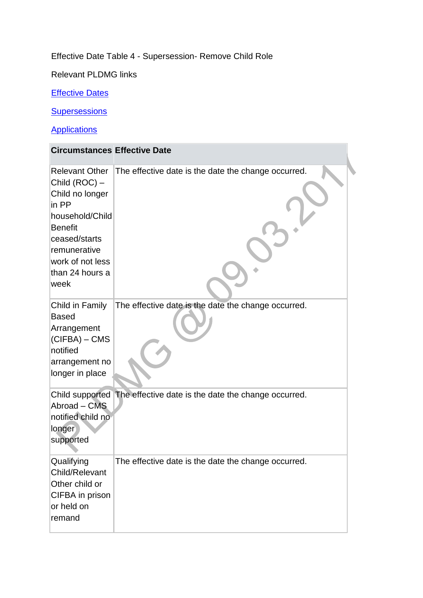## Effective Date Table 4 - Supersession- Remove Child Role

Relevant PLDMG links

**[Effective Dates](http://np-cmg-sharepoint.link2.gpn.gov.uk/sites/policy-law-and-decision-making-guidance/Pages/Effective%20Dates/Effective-Dates.aspx)** 

**[Supersessions](http://np-cmg-sharepoint.link2.gpn.gov.uk/sites/policy-law-and-decision-making-guidance/Pages/Supersessions/Supersessions.aspx)** 

**Applications** 

| <b>Circumstances Effective Date</b>                                                                                                                                                     |                                                                     |
|-----------------------------------------------------------------------------------------------------------------------------------------------------------------------------------------|---------------------------------------------------------------------|
| <b>Relevant Other</b><br>Child (ROC) -<br>Child no longer<br>in PP<br>household/Child<br><b>Benefit</b><br>ceased/starts<br>remunerative<br>work of not less<br>than 24 hours a<br>week | The effective date is the date the change occurred.                 |
| Child in Family<br><b>Based</b><br>Arrangement<br>$ $ (CIFBA) – CMS<br>notified<br>arrangement no<br>longer in place                                                                    | The effective date is the date the change occurred.                 |
| Abroad - CMS<br>notified child no<br>longer<br>supported                                                                                                                                | Child supported The effective date is the date the change occurred. |
| Qualifying<br>Child/Relevant<br>Other child or<br>CIFBA in prison<br>or held on<br>remand                                                                                               | The effective date is the date the change occurred.                 |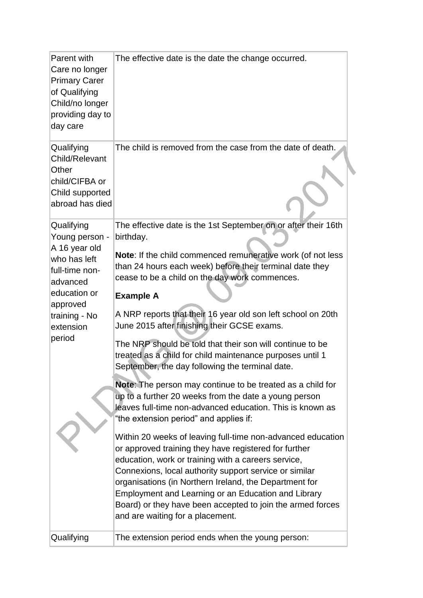| Parent with<br>Care no longer<br><b>Primary Carer</b><br>of Qualifying<br>Child/no longer<br>providing day to<br>day care                                       | The effective date is the date the change occurred.                                                                                                                                                                                                                                                                                                                                                                                                                                                                                                                                                                                                                                                                                                                                                                                                                                                                                                                                                                                                                                                                                                                                                                                                                       |
|-----------------------------------------------------------------------------------------------------------------------------------------------------------------|---------------------------------------------------------------------------------------------------------------------------------------------------------------------------------------------------------------------------------------------------------------------------------------------------------------------------------------------------------------------------------------------------------------------------------------------------------------------------------------------------------------------------------------------------------------------------------------------------------------------------------------------------------------------------------------------------------------------------------------------------------------------------------------------------------------------------------------------------------------------------------------------------------------------------------------------------------------------------------------------------------------------------------------------------------------------------------------------------------------------------------------------------------------------------------------------------------------------------------------------------------------------------|
| Qualifying<br>Child/Relevant<br>Other<br>child/CIFBA or<br>Child supported<br>abroad has died                                                                   | The child is removed from the case from the date of death.                                                                                                                                                                                                                                                                                                                                                                                                                                                                                                                                                                                                                                                                                                                                                                                                                                                                                                                                                                                                                                                                                                                                                                                                                |
| Qualifying<br>Young person -<br>A 16 year old<br>who has left<br>full-time non-<br>advanced<br>education or<br>approved<br>training - No<br>extension<br>period | The effective date is the 1st September on or after their 16th<br>birthday.<br>Note: If the child commenced remunerative work (of not less<br>than 24 hours each week) before their terminal date they<br>cease to be a child on the day work commences.<br><b>Example A</b><br>A NRP reports that their 16 year old son left school on 20th<br>June 2015 after finishing their GCSE exams.<br>The NRP should be told that their son will continue to be<br>treated as a child for child maintenance purposes until 1<br>September, the day following the terminal date.<br><b>Note:</b> The person may continue to be treated as a child for<br>up to a further 20 weeks from the date a young person<br>leaves full-time non-advanced education. This is known as<br>"the extension period" and applies if:<br>Within 20 weeks of leaving full-time non-advanced education<br>or approved training they have registered for further<br>education, work or training with a careers service,<br>Connexions, local authority support service or similar<br>organisations (in Northern Ireland, the Department for<br>Employment and Learning or an Education and Library<br>Board) or they have been accepted to join the armed forces<br>and are waiting for a placement. |
| Qualifying                                                                                                                                                      | The extension period ends when the young person:                                                                                                                                                                                                                                                                                                                                                                                                                                                                                                                                                                                                                                                                                                                                                                                                                                                                                                                                                                                                                                                                                                                                                                                                                          |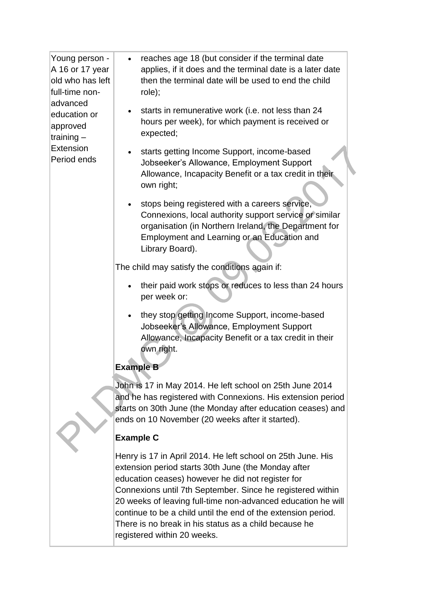| Young person -<br>A 16 or 17 year<br>old who has left<br>full-time non-<br>advanced<br>education or<br>approved<br>training-<br>Extension<br>Period ends | reaches age 18 (but consider if the terminal date<br>$\bullet$<br>applies, if it does and the terminal date is a later date<br>then the terminal date will be used to end the child<br>role);                                                                                                                                                                                                                                                                  |
|----------------------------------------------------------------------------------------------------------------------------------------------------------|----------------------------------------------------------------------------------------------------------------------------------------------------------------------------------------------------------------------------------------------------------------------------------------------------------------------------------------------------------------------------------------------------------------------------------------------------------------|
|                                                                                                                                                          | starts in remunerative work (i.e. not less than 24<br>hours per week), for which payment is received or<br>expected;                                                                                                                                                                                                                                                                                                                                           |
|                                                                                                                                                          | starts getting Income Support, income-based<br>Jobseeker's Allowance, Employment Support<br>Allowance, Incapacity Benefit or a tax credit in their<br>own right;                                                                                                                                                                                                                                                                                               |
|                                                                                                                                                          | stops being registered with a careers service,<br>Connexions, local authority support service or similar<br>organisation (in Northern Ireland, the Department for<br>Employment and Learning or an Education and<br>Library Board).                                                                                                                                                                                                                            |
|                                                                                                                                                          | The child may satisfy the conditions again if:                                                                                                                                                                                                                                                                                                                                                                                                                 |
|                                                                                                                                                          | their paid work stops or reduces to less than 24 hours<br>per week or:                                                                                                                                                                                                                                                                                                                                                                                         |
|                                                                                                                                                          | they stop getting Income Support, income-based<br>Jobseeker's Allowance, Employment Support<br>Allowance, Incapacity Benefit or a tax credit in their<br>own right.                                                                                                                                                                                                                                                                                            |
|                                                                                                                                                          | <b>Example B</b>                                                                                                                                                                                                                                                                                                                                                                                                                                               |
|                                                                                                                                                          | John is 17 in May 2014. He left school on 25th June 2014<br>and he has registered with Connexions. His extension period<br>starts on 30th June (the Monday after education ceases) and<br>ends on 10 November (20 weeks after it started).                                                                                                                                                                                                                     |
|                                                                                                                                                          | <b>Example C</b>                                                                                                                                                                                                                                                                                                                                                                                                                                               |
|                                                                                                                                                          | Henry is 17 in April 2014. He left school on 25th June. His<br>extension period starts 30th June (the Monday after<br>education ceases) however he did not register for<br>Connexions until 7th September. Since he registered within<br>20 weeks of leaving full-time non-advanced education he will<br>continue to be a child until the end of the extension period.<br>There is no break in his status as a child because he<br>registered within 20 weeks. |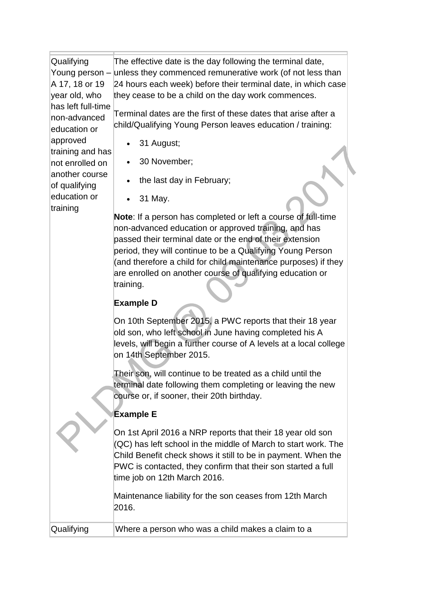| Qualifying<br>A 17, 18 or 19<br>year old, who<br>has left full-time<br>non-advanced | The effective date is the day following the terminal date,<br>Young person – unless they commenced remunerative work (of not less than<br>24 hours each week) before their terminal date, in which case<br>they cease to be a child on the day work commences.<br>Terminal dates are the first of these dates that arise after a                                                                   |
|-------------------------------------------------------------------------------------|----------------------------------------------------------------------------------------------------------------------------------------------------------------------------------------------------------------------------------------------------------------------------------------------------------------------------------------------------------------------------------------------------|
| education or                                                                        | child/Qualifying Young Person leaves education / training:                                                                                                                                                                                                                                                                                                                                         |
| approved<br>training and has                                                        | 31 August;                                                                                                                                                                                                                                                                                                                                                                                         |
| not enrolled on<br>another course                                                   | 30 November;                                                                                                                                                                                                                                                                                                                                                                                       |
| of qualifying                                                                       | the last day in February;                                                                                                                                                                                                                                                                                                                                                                          |
| education or<br>training                                                            | 31 May.                                                                                                                                                                                                                                                                                                                                                                                            |
|                                                                                     | <b>Note:</b> If a person has completed or left a course of full-time<br>non-advanced education or approved training, and has<br>passed their terminal date or the end of their extension<br>period, they will continue to be a Qualifying Young Person<br>(and therefore a child for child maintenance purposes) if they<br>are enrolled on another course of qualifying education or<br>training. |
|                                                                                     | <b>Example D</b>                                                                                                                                                                                                                                                                                                                                                                                   |
|                                                                                     | On 10th September 2015, a PWC reports that their 18 year<br>old son, who left school in June having completed his A<br>levels, will begin a further course of A levels at a local college<br>on 14th September 2015.                                                                                                                                                                               |
|                                                                                     | Their son, will continue to be treated as a child until the<br>terminal date following them completing or leaving the new<br>course or, if sooner, their 20th birthday.                                                                                                                                                                                                                            |
|                                                                                     | <b>Example E</b>                                                                                                                                                                                                                                                                                                                                                                                   |
|                                                                                     | On 1st April 2016 a NRP reports that their 18 year old son<br>(QC) has left school in the middle of March to start work. The<br>Child Benefit check shows it still to be in payment. When the<br>PWC is contacted, they confirm that their son started a full<br>time job on 12th March 2016.                                                                                                      |
|                                                                                     | Maintenance liability for the son ceases from 12th March<br>2016.                                                                                                                                                                                                                                                                                                                                  |
| Qualifying                                                                          | Where a person who was a child makes a claim to a                                                                                                                                                                                                                                                                                                                                                  |